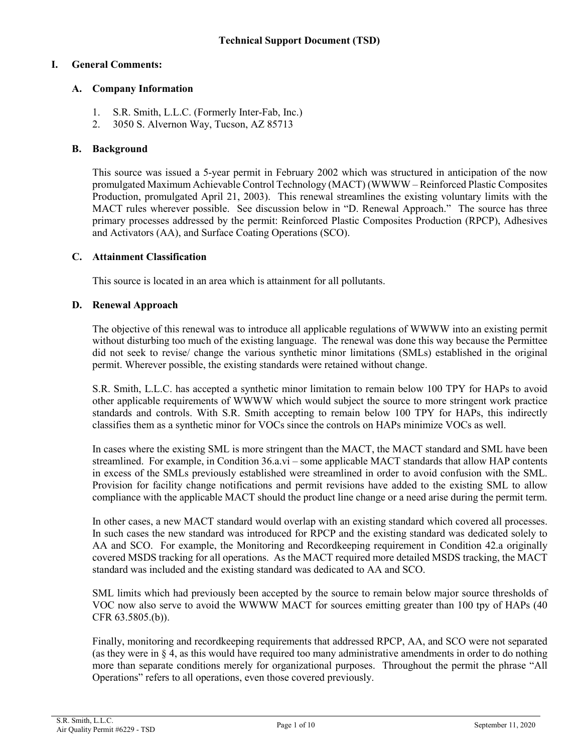# **I. General Comments:**

# **A. Company Information**

- 1. S.R. Smith, L.L.C. (Formerly Inter-Fab, Inc.)
- 2. 3050 S. Alvernon Way, Tucson, AZ 85713

# **B. Background**

This source was issued a 5-year permit in February 2002 which was structured in anticipation of the now promulgated Maximum Achievable Control Technology (MACT) (WWWW – Reinforced Plastic Composites Production, promulgated April 21, 2003). This renewal streamlines the existing voluntary limits with the MACT rules wherever possible. See discussion below in "D. Renewal Approach." The source has three primary processes addressed by the permit: Reinforced Plastic Composites Production (RPCP), Adhesives and Activators (AA), and Surface Coating Operations (SCO).

# **C. Attainment Classification**

This source is located in an area which is attainment for all pollutants.

# **D. Renewal Approach**

The objective of this renewal was to introduce all applicable regulations of WWWW into an existing permit without disturbing too much of the existing language. The renewal was done this way because the Permittee did not seek to revise/ change the various synthetic minor limitations (SMLs) established in the original permit. Wherever possible, the existing standards were retained without change.

S.R. Smith, L.L.C. has accepted a synthetic minor limitation to remain below 100 TPY for HAPs to avoid other applicable requirements of WWWW which would subject the source to more stringent work practice standards and controls. With S.R. Smith accepting to remain below 100 TPY for HAPs, this indirectly classifies them as a synthetic minor for VOCs since the controls on HAPs minimize VOCs as well.

In cases where the existing SML is more stringent than the MACT, the MACT standard and SML have been streamlined. For example, in Condition 36.a.vi – some applicable MACT standards that allow HAP contents in excess of the SMLs previously established were streamlined in order to avoid confusion with the SML. Provision for facility change notifications and permit revisions have added to the existing SML to allow compliance with the applicable MACT should the product line change or a need arise during the permit term.

In other cases, a new MACT standard would overlap with an existing standard which covered all processes. In such cases the new standard was introduced for RPCP and the existing standard was dedicated solely to AA and SCO. For example, the Monitoring and Recordkeeping requirement in Condition 42.a originally covered MSDS tracking for all operations. As the MACT required more detailed MSDS tracking, the MACT standard was included and the existing standard was dedicated to AA and SCO.

SML limits which had previously been accepted by the source to remain below major source thresholds of VOC now also serve to avoid the WWWW MACT for sources emitting greater than 100 tpy of HAPs (40 CFR 63.5805.(b)).

Finally, monitoring and recordkeeping requirements that addressed RPCP, AA, and SCO were not separated (as they were in § 4, as this would have required too many administrative amendments in order to do nothing more than separate conditions merely for organizational purposes. Throughout the permit the phrase "All Operations" refers to all operations, even those covered previously.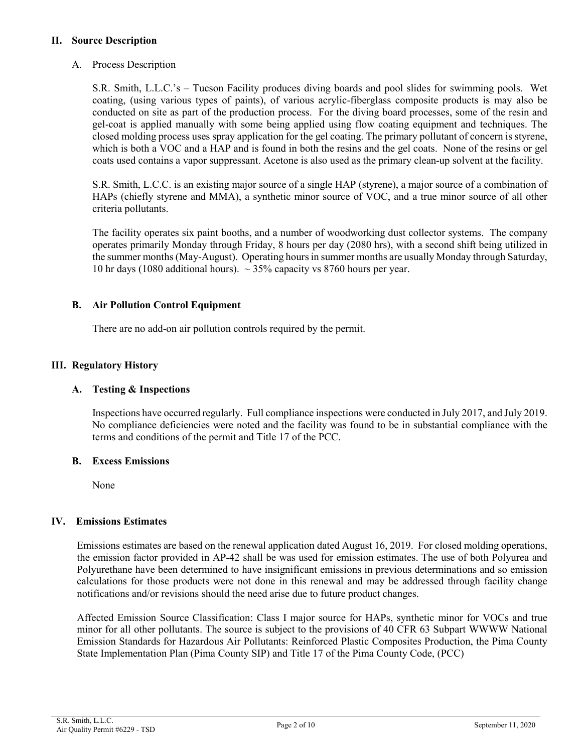# **II. Source Description**

A. Process Description

S.R. Smith, L.L.C.'s – Tucson Facility produces diving boards and pool slides for swimming pools. Wet coating, (using various types of paints), of various acrylic-fiberglass composite products is may also be conducted on site as part of the production process. For the diving board processes, some of the resin and gel-coat is applied manually with some being applied using flow coating equipment and techniques. The closed molding process uses spray application for the gel coating. The primary pollutant of concern is styrene, which is both a VOC and a HAP and is found in both the resins and the gel coats. None of the resins or gel coats used contains a vapor suppressant. Acetone is also used as the primary clean-up solvent at the facility.

S.R. Smith, L.C.C. is an existing major source of a single HAP (styrene), a major source of a combination of HAPs (chiefly styrene and MMA), a synthetic minor source of VOC, and a true minor source of all other criteria pollutants.

The facility operates six paint booths, and a number of woodworking dust collector systems. The company operates primarily Monday through Friday, 8 hours per day (2080 hrs), with a second shift being utilized in the summer months (May-August). Operating hours in summer months are usually Monday through Saturday, 10 hr days (1080 additional hours).  $\sim$  35% capacity vs 8760 hours per year.

# **B. Air Pollution Control Equipment**

There are no add-on air pollution controls required by the permit.

# **III. Regulatory History**

# **A. Testing & Inspections**

Inspections have occurred regularly. Full compliance inspections were conducted in July 2017, and July 2019. No compliance deficiencies were noted and the facility was found to be in substantial compliance with the terms and conditions of the permit and Title 17 of the PCC.

### **B. Excess Emissions**

None

### **IV. Emissions Estimates**

Emissions estimates are based on the renewal application dated August 16, 2019. For closed molding operations, the emission factor provided in AP-42 shall be was used for emission estimates. The use of both Polyurea and Polyurethane have been determined to have insignificant emissions in previous determinations and so emission calculations for those products were not done in this renewal and may be addressed through facility change notifications and/or revisions should the need arise due to future product changes.

Affected Emission Source Classification: Class I major source for HAPs, synthetic minor for VOCs and true minor for all other pollutants. The source is subject to the provisions of 40 CFR 63 Subpart WWWW National Emission Standards for Hazardous Air Pollutants: Reinforced Plastic Composites Production, the Pima County State Implementation Plan (Pima County SIP) and Title 17 of the Pima County Code, (PCC)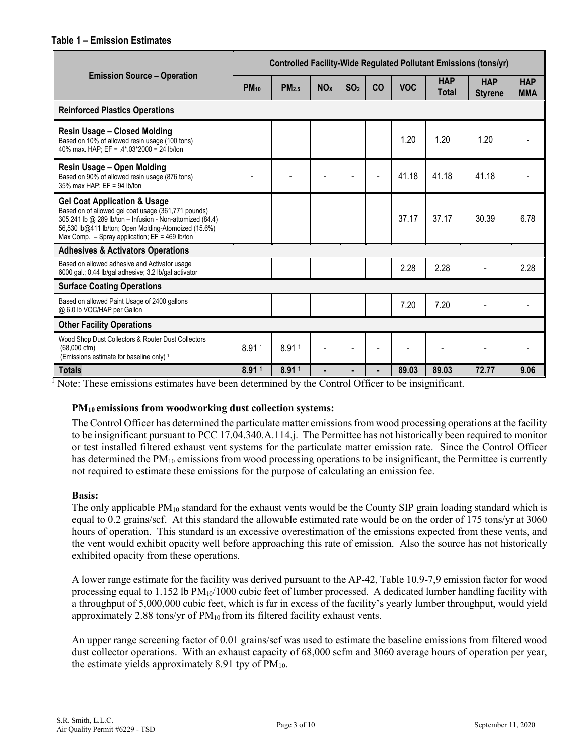### **Table 1 – Emission Estimates**

|                                                                                                                                                                                                                                                                         | <b>Controlled Facility-Wide Regulated Pollutant Emissions (tons/yr)</b> |                   |                       |                 |    |            |                            |                              |                          |
|-------------------------------------------------------------------------------------------------------------------------------------------------------------------------------------------------------------------------------------------------------------------------|-------------------------------------------------------------------------|-------------------|-----------------------|-----------------|----|------------|----------------------------|------------------------------|--------------------------|
| <b>Emission Source – Operation</b>                                                                                                                                                                                                                                      | <b>PM</b> <sub>10</sub>                                                 | PM <sub>2.5</sub> | <b>NO<sub>x</sub></b> | SO <sub>2</sub> | CO | <b>VOC</b> | <b>HAP</b><br><b>Total</b> | <b>HAP</b><br><b>Styrene</b> | <b>HAP</b><br><b>MMA</b> |
| <b>Reinforced Plastics Operations</b>                                                                                                                                                                                                                                   |                                                                         |                   |                       |                 |    |            |                            |                              |                          |
| <b>Resin Usage - Closed Molding</b><br>Based on 10% of allowed resin usage (100 tons)<br>40% max. HAP; EF = .4*.03*2000 = 24 lb/ton                                                                                                                                     |                                                                         |                   |                       |                 |    | 1.20       | 1.20                       | 1.20                         |                          |
| Resin Usage - Open Molding<br>Based on 90% of allowed resin usage (876 tons)<br>35% max HAP; EF = 94 lb/ton                                                                                                                                                             |                                                                         |                   |                       |                 |    | 41.18      | 41.18                      | 41.18                        |                          |
| <b>Gel Coat Application &amp; Usage</b><br>Based on of allowed gel coat usage (361,771 pounds)<br>305,241 lb @ 289 lb/ton - Infusion - Non-attomized (84.4)<br>56,530 lb@411 lb/ton; Open Molding-Atomoized (15.6%)<br>Max Comp. $-$ Spray application; EF = 469 lb/ton |                                                                         |                   |                       |                 |    | 37.17      | 37.17                      | 30.39                        | 6.78                     |
| <b>Adhesives &amp; Activators Operations</b>                                                                                                                                                                                                                            |                                                                         |                   |                       |                 |    |            |                            |                              |                          |
| Based on allowed adhesive and Activator usage<br>6000 gal.; 0.44 lb/gal adhesive; 3.2 lb/gal activator                                                                                                                                                                  |                                                                         |                   |                       |                 |    | 2.28       | 2.28                       |                              | 2.28                     |
| <b>Surface Coating Operations</b>                                                                                                                                                                                                                                       |                                                                         |                   |                       |                 |    |            |                            |                              |                          |
| Based on allowed Paint Usage of 2400 gallons<br>@ 6.0 lb VOC/HAP per Gallon                                                                                                                                                                                             |                                                                         |                   |                       |                 |    | 7.20       | 7.20                       |                              |                          |
| <b>Other Facility Operations</b>                                                                                                                                                                                                                                        |                                                                         |                   |                       |                 |    |            |                            |                              |                          |
| Wood Shop Dust Collectors & Router Dust Collectors<br>$(68,000 \text{ cfm})$<br>(Emissions estimate for baseline only) 1                                                                                                                                                | 8.911                                                                   | 8.91 <sup>1</sup> |                       |                 |    |            |                            |                              |                          |
| <b>Totals</b>                                                                                                                                                                                                                                                           | 8.911                                                                   | 8.911             |                       |                 |    | 89.03      | 89.03                      | 72.77                        | 9.06                     |

<sup>1</sup> Note: These emissions estimates have been determined by the Control Officer to be insignificant.

# **PM10 emissions from woodworking dust collection systems:**

The Control Officer has determined the particulate matter emissions from wood processing operations at the facility to be insignificant pursuant to PCC 17.04.340.A.114.j. The Permittee has not historically been required to monitor or test installed filtered exhaust vent systems for the particulate matter emission rate. Since the Control Officer has determined the PM<sub>10</sub> emissions from wood processing operations to be insignificant, the Permittee is currently not required to estimate these emissions for the purpose of calculating an emission fee.

# **Basis:**

The only applicable  $PM_{10}$  standard for the exhaust vents would be the County SIP grain loading standard which is equal to 0.2 grains/scf. At this standard the allowable estimated rate would be on the order of 175 tons/yr at 3060 hours of operation. This standard is an excessive overestimation of the emissions expected from these vents, and the vent would exhibit opacity well before approaching this rate of emission. Also the source has not historically exhibited opacity from these operations.

A lower range estimate for the facility was derived pursuant to the AP-42, Table 10.9-7,9 emission factor for wood processing equal to 1.152 lb  $PM_{10}/1000$  cubic feet of lumber processed. A dedicated lumber handling facility with a throughput of 5,000,000 cubic feet, which is far in excess of the facility's yearly lumber throughput, would yield approximately 2.88 tons/yr of  $PM_{10}$  from its filtered facility exhaust vents.

An upper range screening factor of 0.01 grains/scf was used to estimate the baseline emissions from filtered wood dust collector operations. With an exhaust capacity of 68,000 scfm and 3060 average hours of operation per year, the estimate yields approximately 8.91 tpy of  $PM_{10}$ .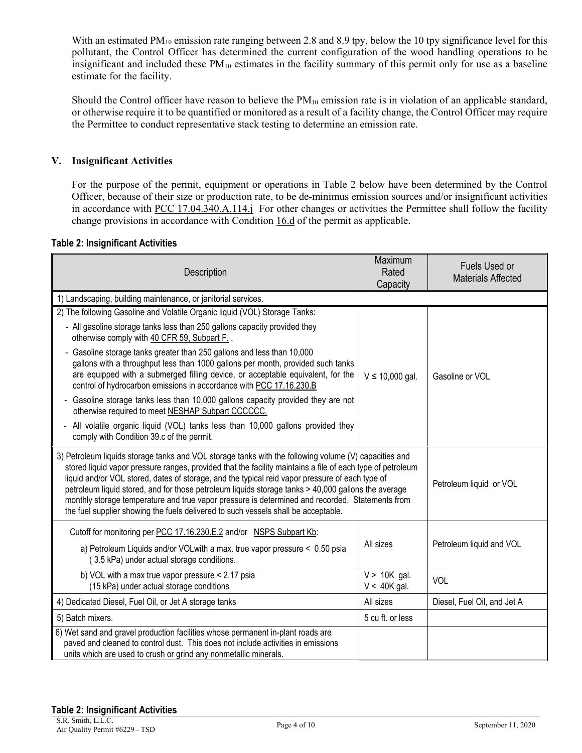With an estimated PM<sub>10</sub> emission rate ranging between 2.8 and 8.9 tpy, below the 10 tpy significance level for this pollutant, the Control Officer has determined the current configuration of the wood handling operations to be insignificant and included these  $PM_{10}$  estimates in the facility summary of this permit only for use as a baseline estimate for the facility.

Should the Control officer have reason to believe the  $PM_{10}$  emission rate is in violation of an applicable standard, or otherwise require it to be quantified or monitored as a result of a facility change, the Control Officer may require the Permittee to conduct representative stack testing to determine an emission rate.

# **V. Insignificant Activities**

For the purpose of the permit, equipment or operations in Table 2 below have been determined by the Control Officer, because of their size or production rate, to be de-minimus emission sources and/or insignificant activities in accordance with [PCC 17.04.340.A.114.](https://tinyurl.com/17-04-340)j For other changes or activities the Permittee shall follow the facility change provisions in accordance with Condition 16.d of the permit as applicable.

#### **Table 2: Insignificant Activities**

| Description                                                                                                                                                                                                                                                                                                                                                                                                                                                                                                                                                                                                            | Maximum<br>Rated<br>Capacity     | Fuels Used or<br><b>Materials Affected</b> |  |
|------------------------------------------------------------------------------------------------------------------------------------------------------------------------------------------------------------------------------------------------------------------------------------------------------------------------------------------------------------------------------------------------------------------------------------------------------------------------------------------------------------------------------------------------------------------------------------------------------------------------|----------------------------------|--------------------------------------------|--|
| 1) Landscaping, building maintenance, or janitorial services.                                                                                                                                                                                                                                                                                                                                                                                                                                                                                                                                                          |                                  |                                            |  |
| 2) The following Gasoline and Volatile Organic liquid (VOL) Storage Tanks:                                                                                                                                                                                                                                                                                                                                                                                                                                                                                                                                             |                                  |                                            |  |
| - All gasoline storage tanks less than 250 gallons capacity provided they<br>otherwise comply with 40 CFR 59, Subpart F.,                                                                                                                                                                                                                                                                                                                                                                                                                                                                                              |                                  |                                            |  |
| - Gasoline storage tanks greater than 250 gallons and less than 10,000<br>gallons with a throughput less than 1000 gallons per month, provided such tanks<br>are equipped with a submerged filling device, or acceptable equivalent, for the<br>control of hydrocarbon emissions in accordance with PCC 17.16.230.B                                                                                                                                                                                                                                                                                                    | $V \le 10,000$ gal.              | Gasoline or VOL                            |  |
| Gasoline storage tanks less than 10,000 gallons capacity provided they are not<br>$\blacksquare$<br>otherwise required to meet NESHAP Subpart CCCCCC.                                                                                                                                                                                                                                                                                                                                                                                                                                                                  |                                  |                                            |  |
| - All volatile organic liquid (VOL) tanks less than 10,000 gallons provided they<br>comply with Condition 39.c of the permit.                                                                                                                                                                                                                                                                                                                                                                                                                                                                                          |                                  |                                            |  |
| 3) Petroleum liquids storage tanks and VOL storage tanks with the following volume (V) capacities and<br>stored liquid vapor pressure ranges, provided that the facility maintains a file of each type of petroleum<br>liquid and/or VOL stored, dates of storage, and the typical reid vapor pressure of each type of<br>petroleum liquid stored, and for those petroleum liquids storage tanks > 40,000 gallons the average<br>monthly storage temperature and true vapor pressure is determined and recorded. Statements from<br>the fuel supplier showing the fuels delivered to such vessels shall be acceptable. |                                  | Petroleum liquid or VOL                    |  |
| Cutoff for monitoring per PCC 17.16.230.E.2 and/or NSPS Subpart Kb:                                                                                                                                                                                                                                                                                                                                                                                                                                                                                                                                                    |                                  | Petroleum liquid and VOL                   |  |
| a) Petroleum Liquids and/or VOLwith a max. true vapor pressure < 0.50 psia<br>(3.5 kPa) under actual storage conditions.                                                                                                                                                                                                                                                                                                                                                                                                                                                                                               | All sizes                        |                                            |  |
| b) VOL with a max true vapor pressure < 2.17 psia<br>(15 kPa) under actual storage conditions                                                                                                                                                                                                                                                                                                                                                                                                                                                                                                                          | $V > 10K$ gal.<br>$V < 40K$ gal. | VOL                                        |  |
| 4) Dedicated Diesel, Fuel Oil, or Jet A storage tanks                                                                                                                                                                                                                                                                                                                                                                                                                                                                                                                                                                  | All sizes                        | Diesel, Fuel Oil, and Jet A                |  |
| 5) Batch mixers.                                                                                                                                                                                                                                                                                                                                                                                                                                                                                                                                                                                                       | 5 cu ft. or less                 |                                            |  |
| 6) Wet sand and gravel production facilities whose permanent in-plant roads are<br>paved and cleaned to control dust. This does not include activities in emissions<br>units which are used to crush or grind any nonmetallic minerals.                                                                                                                                                                                                                                                                                                                                                                                |                                  |                                            |  |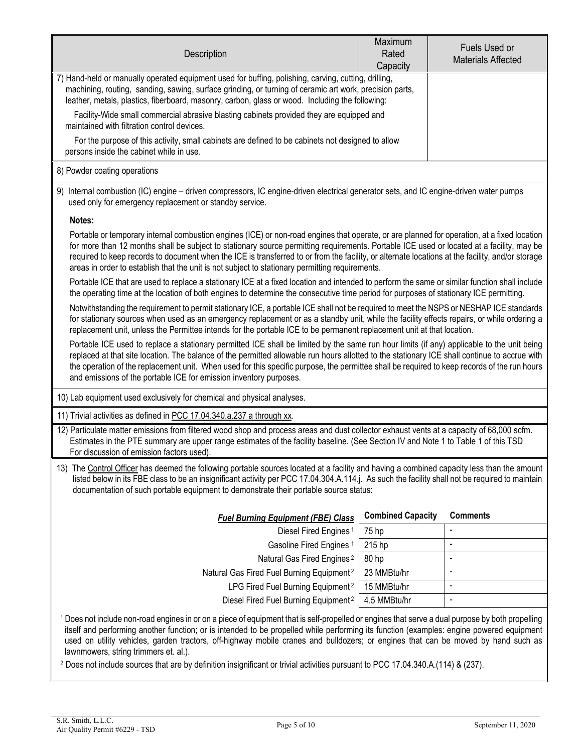| Description                                                                                                                                                                                                                                                                                                                                                                                                                                                                                                                                                                                                               | Maximum<br>Rated<br>Capacity | Fuels Used or<br><b>Materials Affected</b> |  |  |
|---------------------------------------------------------------------------------------------------------------------------------------------------------------------------------------------------------------------------------------------------------------------------------------------------------------------------------------------------------------------------------------------------------------------------------------------------------------------------------------------------------------------------------------------------------------------------------------------------------------------------|------------------------------|--------------------------------------------|--|--|
| 7) Hand-held or manually operated equipment used for buffing, polishing, carving, cutting, drilling,<br>machining, routing, sanding, sawing, surface grinding, or turning of ceramic art work, precision parts,<br>leather, metals, plastics, fiberboard, masonry, carbon, glass or wood. Including the following:                                                                                                                                                                                                                                                                                                        |                              |                                            |  |  |
| Facility-Wide small commercial abrasive blasting cabinets provided they are equipped and<br>maintained with filtration control devices.                                                                                                                                                                                                                                                                                                                                                                                                                                                                                   |                              |                                            |  |  |
| For the purpose of this activity, small cabinets are defined to be cabinets not designed to allow<br>persons inside the cabinet while in use.                                                                                                                                                                                                                                                                                                                                                                                                                                                                             |                              |                                            |  |  |
| 8) Powder coating operations                                                                                                                                                                                                                                                                                                                                                                                                                                                                                                                                                                                              |                              |                                            |  |  |
| 9) Internal combustion (IC) engine - driven compressors, IC engine-driven electrical generator sets, and IC engine-driven water pumps<br>used only for emergency replacement or standby service.                                                                                                                                                                                                                                                                                                                                                                                                                          |                              |                                            |  |  |
| Notes:                                                                                                                                                                                                                                                                                                                                                                                                                                                                                                                                                                                                                    |                              |                                            |  |  |
| Portable or temporary internal combustion engines (ICE) or non-road engines that operate, or are planned for operation, at a fixed location<br>for more than 12 months shall be subject to stationary source permitting requirements. Portable ICE used or located at a facility, may be<br>required to keep records to document when the ICE is transferred to or from the facility, or alternate locations at the facility, and/or storage<br>areas in order to establish that the unit is not subject to stationary permitting requirements.                                                                           |                              |                                            |  |  |
| Portable ICE that are used to replace a stationary ICE at a fixed location and intended to perform the same or similar function shall include<br>the operating time at the location of both engines to determine the consecutive time period for purposes of stationary ICE permitting.                                                                                                                                                                                                                                                                                                                                   |                              |                                            |  |  |
| Notwithstanding the requirement to permit stationary ICE, a portable ICE shall not be required to meet the NSPS or NESHAP ICE standards<br>for stationary sources when used as an emergency replacement or as a standby unit, while the facility effects repairs, or while ordering a<br>replacement unit, unless the Permittee intends for the portable ICE to be permanent replacement unit at that location.                                                                                                                                                                                                           |                              |                                            |  |  |
| Portable ICE used to replace a stationary permitted ICE shall be limited by the same run hour limits (if any) applicable to the unit being<br>replaced at that site location. The balance of the permitted allowable run hours allotted to the stationary ICE shall continue to accrue with<br>the operation of the replacement unit. When used for this specific purpose, the permittee shall be required to keep records of the run hours<br>and emissions of the portable ICE for emission inventory purposes.                                                                                                         |                              |                                            |  |  |
| 10) Lab equipment used exclusively for chemical and physical analyses.                                                                                                                                                                                                                                                                                                                                                                                                                                                                                                                                                    |                              |                                            |  |  |
| 11) Trivial activities as defined in PCC 17.04.340.a.237 a through xx.                                                                                                                                                                                                                                                                                                                                                                                                                                                                                                                                                    |                              |                                            |  |  |
| 12) Particulate matter emissions from filtered wood shop and process areas and dust collector exhaust vents at a capacity of 68,000 scfm.<br>Estimates in the PTE summary are upper range estimates of the facility baseline. (See Section IV and Note 1 to Table 1 of this TSD<br>For discussion of emission factors used).                                                                                                                                                                                                                                                                                              |                              |                                            |  |  |
| 13) The Control Officer has deemed the following portable sources located at a facility and having a combined capacity less than the amount<br>listed below in its FBE class to be an insignificant activity per PCC 17.04.304.A.114.j. As such the facility shall not be required to maintain<br>documentation of such portable equipment to demonstrate their portable source status:                                                                                                                                                                                                                                   |                              |                                            |  |  |
| <b>Fuel Burning Equipment (FBE) Class</b>                                                                                                                                                                                                                                                                                                                                                                                                                                                                                                                                                                                 | <b>Combined Capacity</b>     | <b>Comments</b>                            |  |  |
| Diesel Fired Engines <sup>1</sup>                                                                                                                                                                                                                                                                                                                                                                                                                                                                                                                                                                                         | 75 hp                        | $\blacksquare$                             |  |  |
| Gasoline Fired Engines <sup>1</sup><br>215 hp                                                                                                                                                                                                                                                                                                                                                                                                                                                                                                                                                                             |                              | $\blacksquare$                             |  |  |
| Natural Gas Fired Engines <sup>2</sup>                                                                                                                                                                                                                                                                                                                                                                                                                                                                                                                                                                                    | 80 hp                        | $\ddot{\phantom{a}}$                       |  |  |
| Natural Gas Fired Fuel Burning Equipment <sup>2</sup>                                                                                                                                                                                                                                                                                                                                                                                                                                                                                                                                                                     | 23 MMBtu/hr                  | $\blacksquare$                             |  |  |
| LPG Fired Fuel Burning Equipment <sup>2</sup><br>15 MMBtu/hr                                                                                                                                                                                                                                                                                                                                                                                                                                                                                                                                                              |                              | $\blacksquare$                             |  |  |
| Diesel Fired Fuel Burning Equipment <sup>2</sup>                                                                                                                                                                                                                                                                                                                                                                                                                                                                                                                                                                          | 4.5 MMBtu/hr                 | $\overline{\phantom{a}}$                   |  |  |
| 1 Does not include non-road engines in or on a piece of equipment that is self-propelled or engines that serve a dual purpose by both propelling<br>itself and performing another function; or is intended to be propelled while performing its function (examples: engine powered equipment<br>used on utility vehicles, garden tractors, off-highway mobile cranes and bulldozers; or engines that can be moved by hand such as<br>lawnmowers, string trimmers et. al.).<br><sup>2</sup> Does not include sources that are by definition insignificant or trivial activities pursuant to PCC 17.04.340.A.(114) & (237). |                              |                                            |  |  |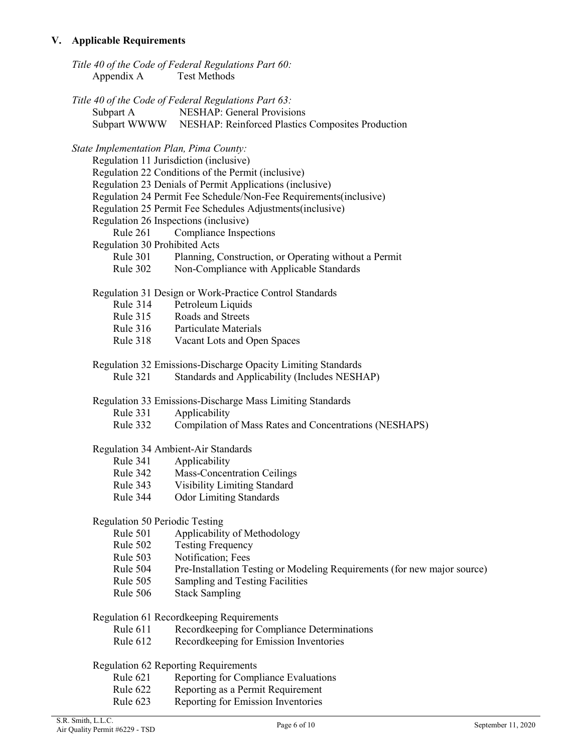# **V. Applicable Requirements**

| Appendix A Test Methods                 | Title 40 of the Code of Federal Regulations Part 60:                     |
|-----------------------------------------|--------------------------------------------------------------------------|
|                                         | Title 40 of the Code of Federal Regulations Part 63:                     |
| Subpart A                               | <b>NESHAP: General Provisions</b>                                        |
|                                         | Subpart WWWW NESHAP: Reinforced Plastics Composites Production           |
| State Implementation Plan, Pima County: |                                                                          |
| Regulation 11 Jurisdiction (inclusive)  |                                                                          |
|                                         | Regulation 22 Conditions of the Permit (inclusive)                       |
|                                         | Regulation 23 Denials of Permit Applications (inclusive)                 |
|                                         | Regulation 24 Permit Fee Schedule/Non-Fee Requirements(inclusive)        |
|                                         | Regulation 25 Permit Fee Schedules Adjustments(inclusive)                |
| Regulation 26 Inspections (inclusive)   |                                                                          |
| Rule 261                                | Compliance Inspections                                                   |
| Regulation 30 Prohibited Acts           |                                                                          |
| Rule 301                                | Planning, Construction, or Operating without a Permit                    |
| <b>Rule 302</b>                         | Non-Compliance with Applicable Standards                                 |
|                                         | Regulation 31 Design or Work-Practice Control Standards                  |
| <b>Rule 314</b>                         | Petroleum Liquids                                                        |
|                                         | Rule 315 Roads and Streets                                               |
|                                         | Rule 316 Particulate Materials                                           |
| Rule 318                                | Vacant Lots and Open Spaces                                              |
|                                         | Regulation 32 Emissions-Discharge Opacity Limiting Standards             |
| <b>Rule 321</b>                         | Standards and Applicability (Includes NESHAP)                            |
|                                         | Regulation 33 Emissions-Discharge Mass Limiting Standards                |
| <b>Rule 331</b>                         | Applicability                                                            |
| Rule 332                                | Compilation of Mass Rates and Concentrations (NESHAPS)                   |
|                                         | Regulation 34 Ambient-Air Standards                                      |
| Rule 341                                | Applicability                                                            |
| Rule 342                                | <b>Mass-Concentration Ceilings</b>                                       |
| Rule 343                                | <b>Visibility Limiting Standard</b>                                      |
| Rule 344                                | <b>Odor Limiting Standards</b>                                           |
| <b>Regulation 50 Periodic Testing</b>   |                                                                          |
| Rule 501                                | Applicability of Methodology                                             |
| Rule 502                                | <b>Testing Frequency</b>                                                 |
| Rule 503                                | Notification; Fees                                                       |
| Rule 504                                | Pre-Installation Testing or Modeling Requirements (for new major source) |
| Rule 505                                | Sampling and Testing Facilities                                          |
| Rule 506                                | <b>Stack Sampling</b>                                                    |
|                                         | Regulation 61 Recordkeeping Requirements                                 |
| Rule 611                                | Recordkeeping for Compliance Determinations                              |
| Rule 612                                | Recordkeeping for Emission Inventories                                   |
|                                         | Regulation 62 Reporting Requirements                                     |
| Rule 621                                | Reporting for Compliance Evaluations                                     |
| Rule 622                                | Reporting as a Permit Requirement                                        |
| Rule 623                                | Reporting for Emission Inventories                                       |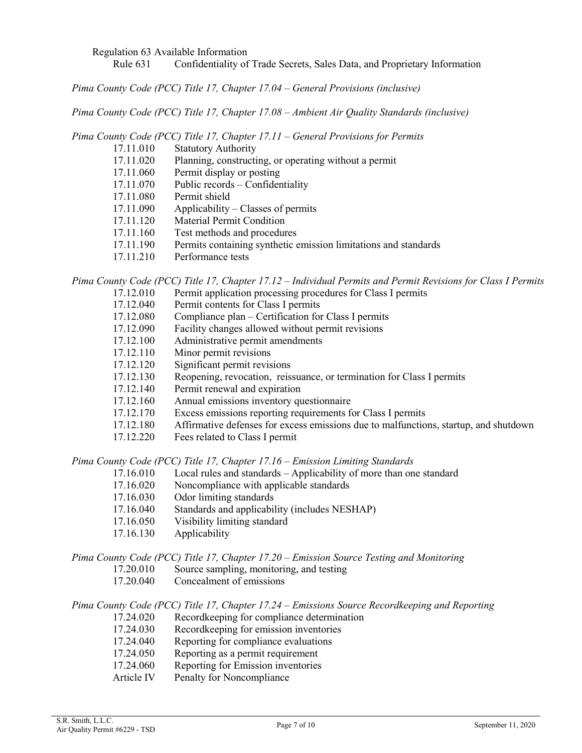Regulation 63 Available Information

Rule 631 Confidentiality of Trade Secrets, Sales Data, and Proprietary Information

*Pima County Code (PCC) Title 17, Chapter 17.04 – General Provisions (inclusive)*

*Pima County Code (PCC) Title 17, Chapter 17.08 – Ambient Air Quality Standards (inclusive)*

*Pima County Code (PCC) Title 17, Chapter 17.11 – General Provisions for Permits*

- 17.11.010 Statutory Authority
- 17.11.020 Planning, constructing, or operating without a permit
- 17.11.060 Permit display or posting
- 17.11.070 Public records Confidentiality
- 17.11.080 Permit shield
- 17.11.090 Applicability Classes of permits
- 17.11.120 Material Permit Condition
- 17.11.160 Test methods and procedures
- 17.11.190 Permits containing synthetic emission limitations and standards
- 17.11.210 Performance tests

*Pima County Code (PCC) Title 17, Chapter 17.12 – Individual Permits and Permit Revisions for Class I Permits* 17.12.010 Permit application processing procedures for Class I permits

- 17.12.040 Permit contents for Class I permits
- 17.12.080 Compliance plan Certification for Class I permits
- 17.12.090 Facility changes allowed without permit revisions<br>17.12.100 Administrative permit amendments
- Administrative permit amendments
- 17.12.110 Minor permit revisions
- 17.12.120 Significant permit revisions
- 17.12.130 Reopening, revocation, reissuance, or termination for Class I permits
- 17.12.140 Permit renewal and expiration
- 17.12.160 Annual emissions inventory questionnaire
- 17.12.170 Excess emissions reporting requirements for Class I permits
- 17.12.180 Affirmative defenses for excess emissions due to malfunctions, startup, and shutdown
- 17.12.220 Fees related to Class I permit

*Pima County Code (PCC) Title 17, Chapter 17.16 – Emission Limiting Standards*

- 17.16.010 Local rules and standards Applicability of more than one standard
- 17.16.020 Noncompliance with applicable standards
- 17.16.030 Odor limiting standards<br>17.16.040 Standards and applicabi
- Standards and applicability (includes NESHAP)
- 17.16.050 Visibility limiting standard
- 17.16.130 Applicability

#### *Pima County Code (PCC) Title 17, Chapter 17.20 – Emission Source Testing and Monitoring*

- 17.20.010 Source sampling, monitoring, and testing
- 17.20.040 Concealment of emissions

### *Pima County Code (PCC) Title 17, Chapter 17.24 – Emissions Source Recordkeeping and Reporting*

- 17.24.020 Recordkeeping for compliance determination<br>17.24.030 Recordkeeping for emission inventories
- Recordkeeping for emission inventories
- 17.24.040 Reporting for compliance evaluations
- 17.24.050 Reporting as a permit requirement
- 17.24.060 Reporting for Emission inventories<br>Article IV Penalty for Noncompliance
- Penalty for Noncompliance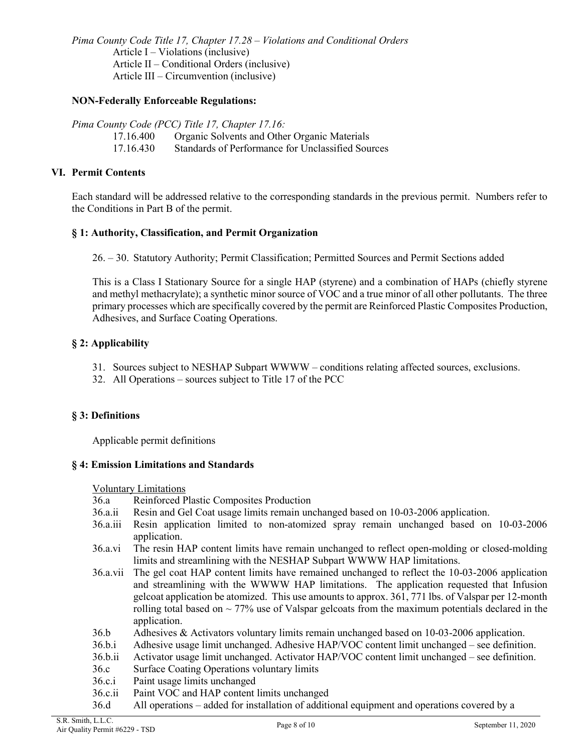*Pima County Code Title 17, Chapter 17.28 – Violations and Conditional Orders*  Article  $I - Violations (inclusive)$ Article II – Conditional Orders (inclusive) Article III – Circumvention (inclusive)

### **NON-Federally Enforceable Regulations:**

*Pima County Code (PCC) Title 17, Chapter 17.16:*

- 17.16.400 Organic Solvents and Other Organic Materials
- 17.16.430 Standards of Performance for Unclassified Sources

# **VI. Permit Contents**

Each standard will be addressed relative to the corresponding standards in the previous permit. Numbers refer to the Conditions in Part B of the permit.

# **§ 1: Authority, Classification, and Permit Organization**

26. – 30. Statutory Authority; Permit Classification; Permitted Sources and Permit Sections added

This is a Class I Stationary Source for a single HAP (styrene) and a combination of HAPs (chiefly styrene and methyl methacrylate); a synthetic minor source of VOC and a true minor of all other pollutants. The three primary processes which are specifically covered by the permit are Reinforced Plastic Composites Production, Adhesives, and Surface Coating Operations.

# **§ 2: Applicability**

- 31. Sources subject to NESHAP Subpart WWWW conditions relating affected sources, exclusions.
- 32. All Operations sources subject to Title 17 of the PCC

# **§ 3: Definitions**

Applicable permit definitions

### **§ 4: Emission Limitations and Standards**

Voluntary Limitations

- 36.a Reinforced Plastic Composites Production
- 36.a.ii Resin and Gel Coat usage limits remain unchanged based on 10-03-2006 application.
- 36.a.iii Resin application limited to non-atomized spray remain unchanged based on 10-03-2006 application.
- 36.a.vi The resin HAP content limits have remain unchanged to reflect open-molding or closed-molding limits and streamlining with the NESHAP Subpart WWWW HAP limitations.
- 36.a.vii The gel coat HAP content limits have remained unchanged to reflect the 10-03-2006 application and streamlining with the WWWW HAP limitations. The application requested that Infusion gelcoat application be atomized. This use amounts to approx. 361, 771 lbs. of Valspar per 12-month rolling total based on  $\sim$  77% use of Valspar gelcoats from the maximum potentials declared in the application.
- 36.b Adhesives & Activators voluntary limits remain unchanged based on 10-03-2006 application.
- 36.b.i Adhesive usage limit unchanged. Adhesive HAP/VOC content limit unchanged see definition.
- 36.b.ii Activator usage limit unchanged. Activator HAP/VOC content limit unchanged see definition.
- 36.c Surface Coating Operations voluntary limits
- 36.c.i Paint usage limits unchanged
- 36.c.ii Paint VOC and HAP content limits unchanged
- 36.d All operations added for installation of additional equipment and operations covered by a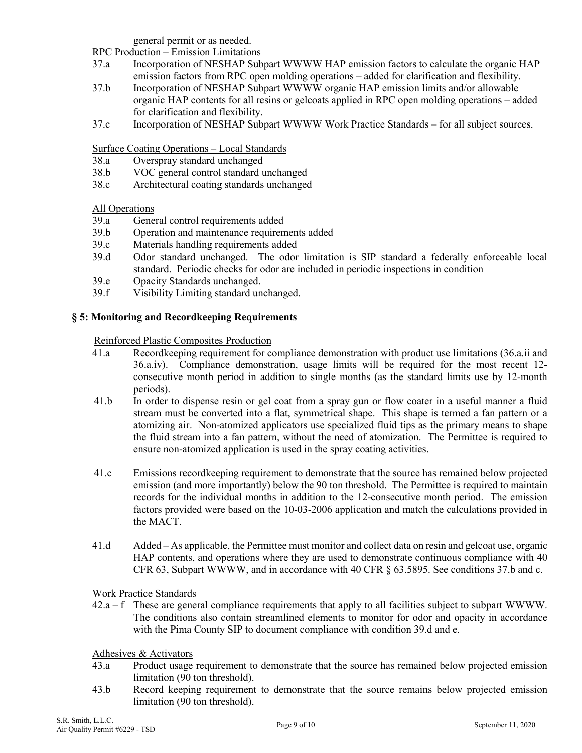general permit or as needed.

RPC Production – Emission Limitations

- 37.a Incorporation of NESHAP Subpart WWWW HAP emission factors to calculate the organic HAP emission factors from RPC open molding operations – added for clarification and flexibility.
- 37.b Incorporation of NESHAP Subpart WWWW organic HAP emission limits and/or allowable organic HAP contents for all resins or gelcoats applied in RPC open molding operations – added for clarification and flexibility.
- 37.c Incorporation of NESHAP Subpart WWWW Work Practice Standards for all subject sources.

# Surface Coating Operations – Local Standards

- 38.a Overspray standard unchanged<br>38.b VOC general control standard u
- VOC general control standard unchanged
- 38.c Architectural coating standards unchanged

### All Operations

- 39.a General control requirements added
- 39.b Operation and maintenance requirements added
- 39.c Materials handling requirements added
- 39.d Odor standard unchanged. The odor limitation is SIP standard a federally enforceable local standard. Periodic checks for odor are included in periodic inspections in condition
- 39.e Opacity Standards unchanged.
- 39.f Visibility Limiting standard unchanged.

# **§ 5: Monitoring and Recordkeeping Requirements**

Reinforced Plastic Composites Production

- 41.a Recordkeeping requirement for compliance demonstration with product use limitations (36.a.ii and 36.a.iv). Compliance demonstration, usage limits will be required for the most recent 12 consecutive month period in addition to single months (as the standard limits use by 12-month periods).
- 41.b In order to dispense resin or gel coat from a spray gun or flow coater in a useful manner a fluid stream must be converted into a flat, symmetrical shape. This shape is termed a fan pattern or a atomizing air. Non-atomized applicators use specialized fluid tips as the primary means to shape the fluid stream into a fan pattern, without the need of atomization. The Permittee is required to ensure non-atomized application is used in the spray coating activities.
- 41.c Emissions recordkeeping requirement to demonstrate that the source has remained below projected emission (and more importantly) below the 90 ton threshold. The Permittee is required to maintain records for the individual months in addition to the 12-consecutive month period. The emission factors provided were based on the 10-03-2006 application and match the calculations provided in the MACT.
- 41.d Added As applicable, the Permittee must monitor and collect data on resin and gelcoat use, organic HAP contents, and operations where they are used to demonstrate continuous compliance with 40 CFR 63, Subpart WWWW, and in accordance with 40 CFR § 63.5895. See conditions 37.b and c.

Work Practice Standards

 $42.a - f$  These are general compliance requirements that apply to all facilities subject to subpart WWWW. The conditions also contain streamlined elements to monitor for odor and opacity in accordance with the Pima County SIP to document compliance with condition 39.d and e.

Adhesives & Activators

- 43.a Product usage requirement to demonstrate that the source has remained below projected emission limitation (90 ton threshold).
- 43.b Record keeping requirement to demonstrate that the source remains below projected emission limitation (90 ton threshold).